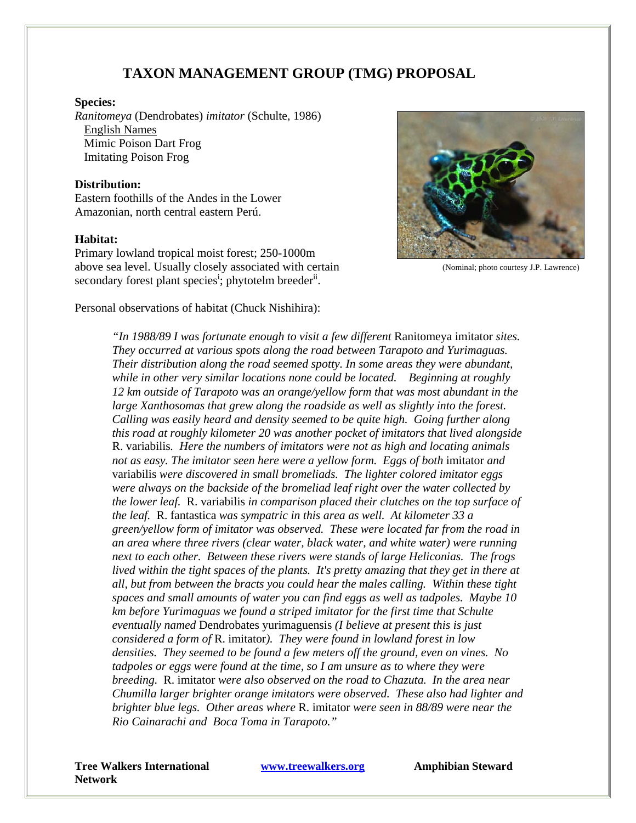# **TAXON MANAGEMENT GROUP (TMG) PROPOSAL**

#### **Species:**

*Ranitomeya* (Dendrobates) *imitator* (Schulte, 1986) English Names Mimic Poison Dart Frog Imitating Poison Frog

#### **Distribution:**

Eastern foothills of the Andes in the Lower Amazonian, north central eastern Perú.

#### **Habitat:**

Primary lowland tropical moist forest; 250-1000m above sea level. Usually closely associated with certain secondary forest plant species<sup>i</sup>; phytotelm breeder<sup>ii</sup>.



(Nominal; photo courtesy J.P. Lawrence)

Personal observations of habitat (Chuck Nishihira):

*"In 1988/89 I was fortunate enough to visit a few different* Ranitomeya imitator *sites. They occurred at various spots along the road between Tarapoto and Yurimaguas. Their distribution along the road seemed spotty. In some areas they were abundant, while in other very similar locations none could be located. Beginning at roughly 12 km outside of Tarapoto was an orange/yellow form that was most abundant in the large Xanthosomas that grew along the roadside as well as slightly into the forest. Calling was easily heard and density seemed to be quite high. Going further along this road at roughly kilometer 20 was another pocket of imitators that lived alongside*  R. variabilis*. Here the numbers of imitators were not as high and locating animals not as easy. The imitator seen here were a yellow form. Eggs of both imitator and* variabilis *were discovered in small bromeliads. The lighter colored imitator eggs were always on the backside of the bromeliad leaf right over the water collected by the lower leaf.* R. variabilis *in comparison placed their clutches on the top surface of the leaf.* R. fantastica *was sympatric in this area as well. At kilometer 33 a green/yellow form of imitator was observed. These were located far from the road in an area where three rivers (clear water, black water, and white water) were running next to each other. Between these rivers were stands of large Heliconias. The frogs lived within the tight spaces of the plants. It's pretty amazing that they get in there at all, but from between the bracts you could hear the males calling. Within these tight spaces and small amounts of water you can find eggs as well as tadpoles. Maybe 10 km before Yurimaguas we found a striped imitator for the first time that Schulte eventually named* Dendrobates yurimaguensis *(I believe at present this is just considered a form of* R. imitator*). They were found in lowland forest in low densities. They seemed to be found a few meters off the ground, even on vines. No tadpoles or eggs were found at the time, so I am unsure as to where they were breeding.* R. imitator *were also observed on the road to Chazuta. In the area near Chumilla larger brighter orange imitators were observed. These also had lighter and brighter blue legs. Other areas where* R. imitator *were seen in 88/89 were near the Rio Cainarachi and Boca Toma in Tarapoto."* 

**Tree Walkers International www.treewalkers.org Network**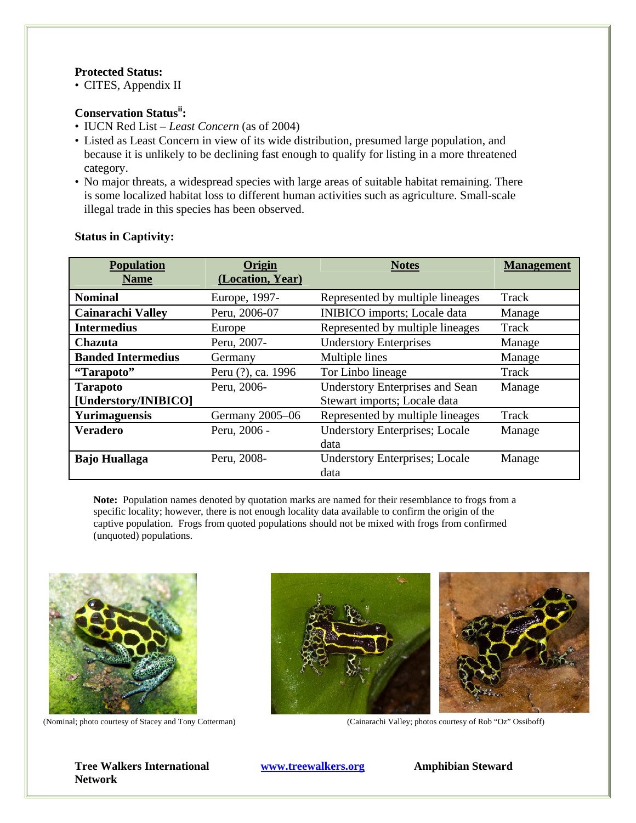# **Protected Status:**

• CITES, Appendix II

# **Conservation Statusii:**

- IUCN Red List *Least Concern* (as of 2004)
- Listed as Least Concern in view of its wide distribution, presumed large population, and because it is unlikely to be declining fast enough to qualify for listing in a more threatened category.
- No major threats, a widespread species with large areas of suitable habitat remaining. There is some localized habitat loss to different human activities such as agriculture. Small-scale illegal trade in this species has been observed.

| <b>Population</b><br><b>Name</b>        | Origin<br>(Location, Year) | <b>Notes</b>                                                           | <b>Management</b> |
|-----------------------------------------|----------------------------|------------------------------------------------------------------------|-------------------|
| <b>Nominal</b>                          | Europe, 1997-              | Represented by multiple lineages                                       | Track             |
| <b>Cainarachi Valley</b>                | Peru, 2006-07              | <b>INIBICO</b> imports; Locale data                                    | Manage            |
| <b>Intermedius</b>                      | Europe                     | Represented by multiple lineages                                       | Track             |
| <b>Chazuta</b>                          | Peru, 2007-                | <b>Understory Enterprises</b>                                          | Manage            |
| <b>Banded Intermedius</b>               | Germany                    | Multiple lines                                                         | Manage            |
| "Tarapoto"                              | Peru (?), ca. 1996         | Tor Linbo lineage                                                      | Track             |
| <b>Tarapoto</b><br>[Understory/INIBICO] | Peru, 2006-                | <b>Understory Enterprises and Sean</b><br>Stewart imports; Locale data | Manage            |
| <b>Yurimaguensis</b>                    | Germany 2005-06            | Represented by multiple lineages                                       | Track             |
| <b>Veradero</b>                         | Peru, 2006 -               | <b>Understory Enterprises; Locale</b><br>data                          | Manage            |
| <b>Bajo Huallaga</b>                    | Peru, 2008-                | <b>Understory Enterprises; Locale</b><br>data                          | Manage            |

## **Status in Captivity:**

**Note:** Population names denoted by quotation marks are named for their resemblance to frogs from a specific locality; however, there is not enough locality data available to confirm the origin of the captive population. Frogs from quoted populations should not be mixed with frogs from confirmed (unquoted) populations.







(Nominal; photo courtesy of Stacey and Tony Cotterman) (Cainarachi Valley; photos courtesy of Rob "Oz" Ossiboff)

**Tree Walkers International www.treewalkers.org Network**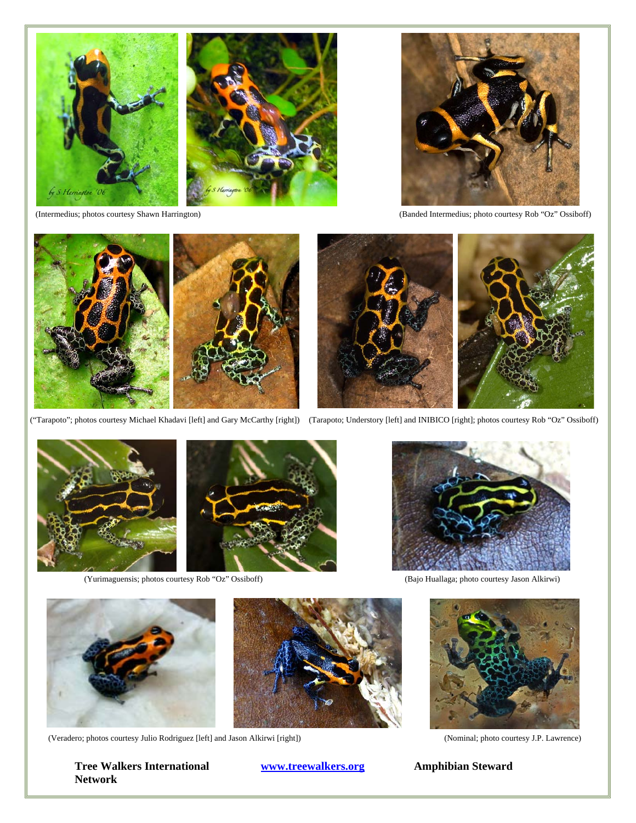







("Tarapoto"; photos courtesy Michael Khadavi [left] and Gary McCarthy [right]) (Tarapoto; Understory [left] and INIBICO [right]; photos courtesy Rob "Oz" Ossiboff)



(Yurimaguensis; photos courtesy Rob "Oz" Ossiboff)



(Bajo Huallaga; photo courtesy Jason Alkirwi)



(Veradero; photos courtesy Julio Rodriguez [left] and Jason Alkirwi [right])

**Tree Walkers International WWW.treewalkers.org Amphibian Steward Network** 



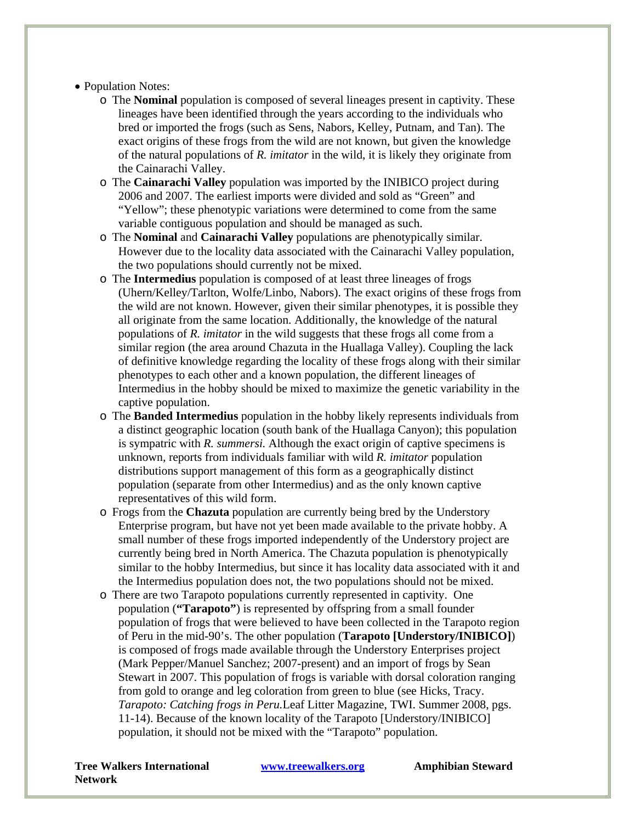# • Population Notes:

- o The **Nominal** population is composed of several lineages present in captivity. These lineages have been identified through the years according to the individuals who bred or imported the frogs (such as Sens, Nabors, Kelley, Putnam, and Tan). The exact origins of these frogs from the wild are not known, but given the knowledge of the natural populations of *R. imitator* in the wild, it is likely they originate from the Cainarachi Valley.
- o The **Cainarachi Valley** population was imported by the INIBICO project during 2006 and 2007. The earliest imports were divided and sold as "Green" and "Yellow"; these phenotypic variations were determined to come from the same variable contiguous population and should be managed as such.
- o The **Nominal** and **Cainarachi Valley** populations are phenotypically similar. However due to the locality data associated with the Cainarachi Valley population, the two populations should currently not be mixed.
- o The **Intermedius** population is composed of at least three lineages of frogs (Uhern/Kelley/Tarlton, Wolfe/Linbo, Nabors). The exact origins of these frogs from the wild are not known. However, given their similar phenotypes, it is possible they all originate from the same location. Additionally, the knowledge of the natural populations of *R. imitator* in the wild suggests that these frogs all come from a similar region (the area around Chazuta in the Huallaga Valley). Coupling the lack of definitive knowledge regarding the locality of these frogs along with their similar phenotypes to each other and a known population, the different lineages of Intermedius in the hobby should be mixed to maximize the genetic variability in the captive population.
- o The **Banded Intermedius** population in the hobby likely represents individuals from a distinct geographic location (south bank of the Huallaga Canyon); this population is sympatric with *R. summersi.* Although the exact origin of captive specimens is unknown, reports from individuals familiar with wild *R. imitator* population distributions support management of this form as a geographically distinct population (separate from other Intermedius) and as the only known captive representatives of this wild form.
- o Frogs from the **Chazuta** population are currently being bred by the Understory Enterprise program, but have not yet been made available to the private hobby. A small number of these frogs imported independently of the Understory project are currently being bred in North America. The Chazuta population is phenotypically similar to the hobby Intermedius, but since it has locality data associated with it and the Intermedius population does not, the two populations should not be mixed.
- o There are two Tarapoto populations currently represented in captivity. One population (**"Tarapoto"**) is represented by offspring from a small founder population of frogs that were believed to have been collected in the Tarapoto region of Peru in the mid-90's. The other population (**Tarapoto [Understory/INIBICO]**) is composed of frogs made available through the Understory Enterprises project (Mark Pepper/Manuel Sanchez; 2007-present) and an import of frogs by Sean Stewart in 2007. This population of frogs is variable with dorsal coloration ranging from gold to orange and leg coloration from green to blue (see Hicks, Tracy. *Tarapoto: Catching frogs in Peru.*Leaf Litter Magazine, TWI. Summer 2008, pgs. 11-14). Because of the known locality of the Tarapoto [Understory/INIBICO] population, it should not be mixed with the "Tarapoto" population.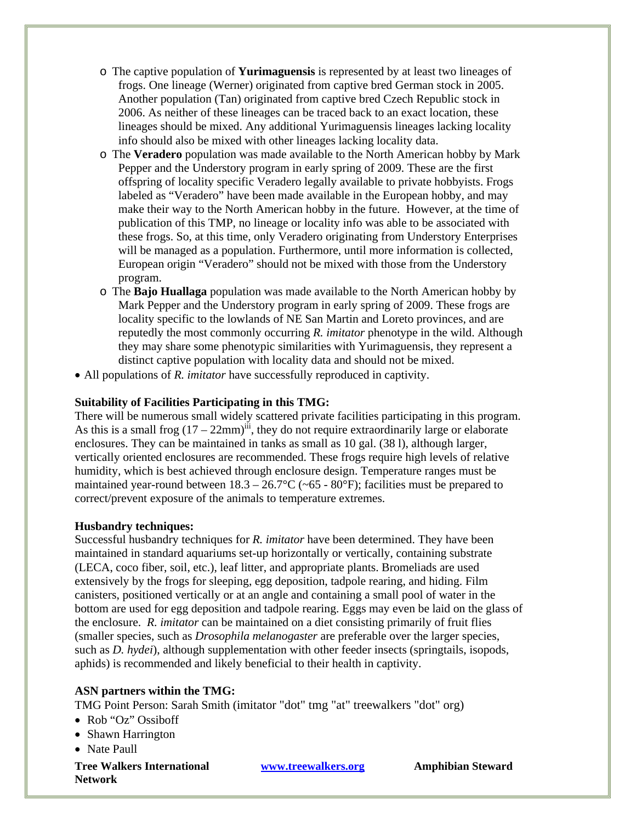- o The captive population of **Yurimaguensis** is represented by at least two lineages of frogs. One lineage (Werner) originated from captive bred German stock in 2005. Another population (Tan) originated from captive bred Czech Republic stock in 2006. As neither of these lineages can be traced back to an exact location, these lineages should be mixed. Any additional Yurimaguensis lineages lacking locality info should also be mixed with other lineages lacking locality data.
- o The **Veradero** population was made available to the North American hobby by Mark Pepper and the Understory program in early spring of 2009. These are the first offspring of locality specific Veradero legally available to private hobbyists. Frogs labeled as "Veradero" have been made available in the European hobby, and may make their way to the North American hobby in the future. However, at the time of publication of this TMP, no lineage or locality info was able to be associated with these frogs. So, at this time, only Veradero originating from Understory Enterprises will be managed as a population. Furthermore, until more information is collected, European origin "Veradero" should not be mixed with those from the Understory program.
- o The **Bajo Huallaga** population was made available to the North American hobby by Mark Pepper and the Understory program in early spring of 2009. These frogs are locality specific to the lowlands of NE San Martin and Loreto provinces, and are reputedly the most commonly occurring *R. imitator* phenotype in the wild. Although they may share some phenotypic similarities with Yurimaguensis, they represent a distinct captive population with locality data and should not be mixed.
- All populations of *R. imitator* have successfully reproduced in captivity.

#### **Suitability of Facilities Participating in this TMG:**

There will be numerous small widely scattered private facilities participating in this program. As this is a small frog  $(17 - 22 \text{mm})^{iii}$ , they do not require extraordinarily large or elaborate enclosures. They can be maintained in tanks as small as 10 gal. (38 l), although larger, vertically oriented enclosures are recommended. These frogs require high levels of relative humidity, which is best achieved through enclosure design. Temperature ranges must be maintained year-round between  $18.3 - 26.7$ °C (~65 - 80°F); facilities must be prepared to correct/prevent exposure of the animals to temperature extremes.

#### **Husbandry techniques:**

Successful husbandry techniques for *R. imitator* have been determined. They have been maintained in standard aquariums set-up horizontally or vertically, containing substrate (LECA, coco fiber, soil, etc.), leaf litter, and appropriate plants. Bromeliads are used extensively by the frogs for sleeping, egg deposition, tadpole rearing, and hiding. Film canisters, positioned vertically or at an angle and containing a small pool of water in the bottom are used for egg deposition and tadpole rearing. Eggs may even be laid on the glass of the enclosure. *R. imitator* can be maintained on a diet consisting primarily of fruit flies (smaller species, such as *Drosophila melanogaster* are preferable over the larger species, such as *D. hydei*), although supplementation with other feeder insects (springtails, isopods, aphids) is recommended and likely beneficial to their health in captivity.

#### **ASN partners within the TMG:**

TMG Point Person: Sarah Smith (imitator "dot" tmg "at" treewalkers "dot" org)

- Rob "Oz" Ossiboff
- Shawn Harrington
- Nate Paull

**Tree Walkers International www.treewalkers.org Network**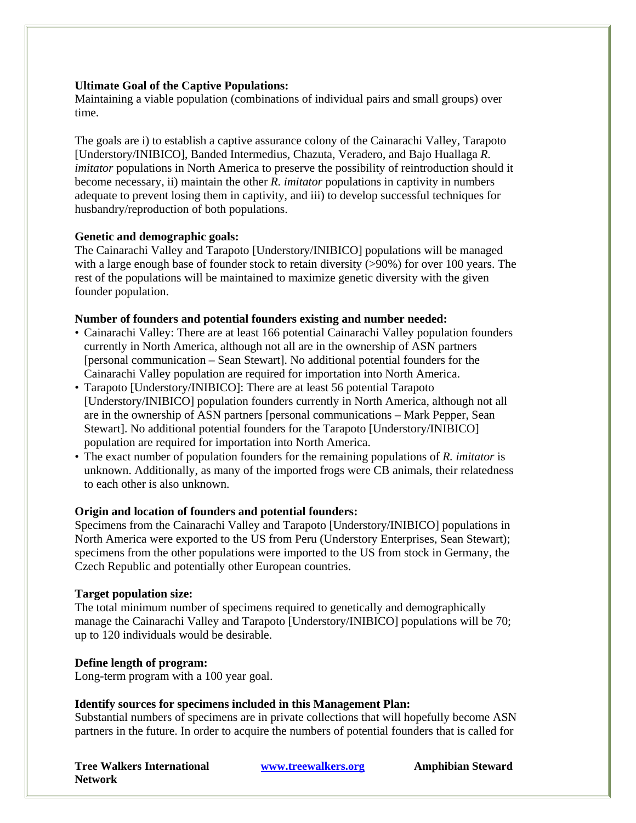## **Ultimate Goal of the Captive Populations:**

Maintaining a viable population (combinations of individual pairs and small groups) over time.

The goals are i) to establish a captive assurance colony of the Cainarachi Valley, Tarapoto [Understory/INIBICO], Banded Intermedius, Chazuta, Veradero, and Bajo Huallaga *R. imitator* populations in North America to preserve the possibility of reintroduction should it become necessary, ii) maintain the other *R. imitator* populations in captivity in numbers adequate to prevent losing them in captivity, and iii) to develop successful techniques for husbandry/reproduction of both populations.

#### **Genetic and demographic goals:**

The Cainarachi Valley and Tarapoto [Understory/INIBICO] populations will be managed with a large enough base of founder stock to retain diversity ( $>90\%$ ) for over 100 years. The rest of the populations will be maintained to maximize genetic diversity with the given founder population.

## **Number of founders and potential founders existing and number needed:**

- Cainarachi Valley: There are at least 166 potential Cainarachi Valley population founders currently in North America, although not all are in the ownership of ASN partners [personal communication – Sean Stewart]. No additional potential founders for the Cainarachi Valley population are required for importation into North America.
- Tarapoto [Understory/INIBICO]: There are at least 56 potential Tarapoto [Understory/INIBICO] population founders currently in North America, although not all are in the ownership of ASN partners [personal communications – Mark Pepper, Sean Stewart]. No additional potential founders for the Tarapoto [Understory/INIBICO] population are required for importation into North America.
- The exact number of population founders for the remaining populations of *R. imitator* is unknown. Additionally, as many of the imported frogs were CB animals, their relatedness to each other is also unknown.

# **Origin and location of founders and potential founders:**

Specimens from the Cainarachi Valley and Tarapoto [Understory/INIBICO] populations in North America were exported to the US from Peru (Understory Enterprises, Sean Stewart); specimens from the other populations were imported to the US from stock in Germany, the Czech Republic and potentially other European countries.

#### **Target population size:**

The total minimum number of specimens required to genetically and demographically manage the Cainarachi Valley and Tarapoto [Understory/INIBICO] populations will be 70; up to 120 individuals would be desirable.

# **Define length of program:**

Long-term program with a 100 year goal.

# **Identify sources for specimens included in this Management Plan:**

Substantial numbers of specimens are in private collections that will hopefully become ASN partners in the future. In order to acquire the numbers of potential founders that is called for

**Tree Walkers International www.treewalkers.org Network**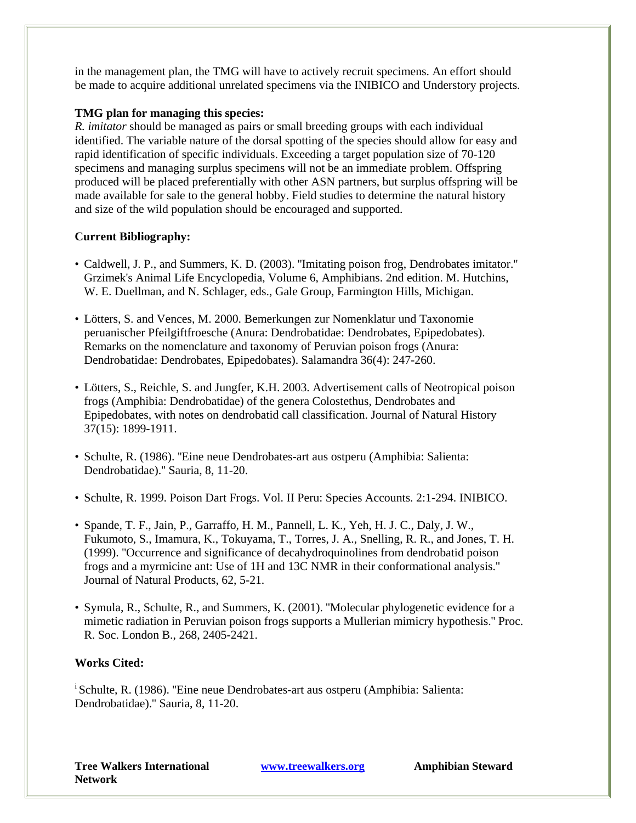in the management plan, the TMG will have to actively recruit specimens. An effort should be made to acquire additional unrelated specimens via the INIBICO and Understory projects.

## **TMG plan for managing this species:**

*R. imitator* should be managed as pairs or small breeding groups with each individual identified. The variable nature of the dorsal spotting of the species should allow for easy and rapid identification of specific individuals. Exceeding a target population size of 70-120 specimens and managing surplus specimens will not be an immediate problem. Offspring produced will be placed preferentially with other ASN partners, but surplus offspring will be made available for sale to the general hobby. Field studies to determine the natural history and size of the wild population should be encouraged and supported.

# **Current Bibliography:**

- Caldwell, J. P., and Summers, K. D. (2003). ''Imitating poison frog, Dendrobates imitator.'' Grzimek's Animal Life Encyclopedia, Volume 6, Amphibians. 2nd edition. M. Hutchins, W. E. Duellman, and N. Schlager, eds., Gale Group, Farmington Hills, Michigan.
- Lötters, S. and Vences, M. 2000. Bemerkungen zur Nomenklatur und Taxonomie peruanischer Pfeilgiftfroesche (Anura: Dendrobatidae: Dendrobates, Epipedobates). Remarks on the nomenclature and taxonomy of Peruvian poison frogs (Anura: Dendrobatidae: Dendrobates, Epipedobates). Salamandra 36(4): 247-260.
- Lötters, S., Reichle, S. and Jungfer, K.H. 2003. Advertisement calls of Neotropical poison frogs (Amphibia: Dendrobatidae) of the genera Colostethus, Dendrobates and Epipedobates, with notes on dendrobatid call classification. Journal of Natural History 37(15): 1899-1911.
- Schulte, R. (1986). ''Eine neue Dendrobates-art aus ostperu (Amphibia: Salienta: Dendrobatidae).'' Sauria, 8, 11-20.
- Schulte, R. 1999. Poison Dart Frogs. Vol. II Peru: Species Accounts. 2:1-294. INIBICO.
- Spande, T. F., Jain, P., Garraffo, H. M., Pannell, L. K., Yeh, H. J. C., Daly, J. W., Fukumoto, S., Imamura, K., Tokuyama, T., Torres, J. A., Snelling, R. R., and Jones, T. H. (1999). ''Occurrence and significance of decahydroquinolines from dendrobatid poison frogs and a myrmicine ant: Use of 1H and 13C NMR in their conformational analysis.'' Journal of Natural Products, 62, 5-21.
- Symula, R., Schulte, R., and Summers, K. (2001). ''Molecular phylogenetic evidence for a mimetic radiation in Peruvian poison frogs supports a Mullerian mimicry hypothesis.'' Proc. R. Soc. London B., 268, 2405-2421.

#### **Works Cited:**

<sup>i</sup> Schulte, R. (1986). "Eine neue Dendrobates-art aus ostperu (Amphibia: Salienta: Dendrobatidae).'' Sauria, 8, 11-20.

**Tree Walkers International www.treewalkers.org Network**